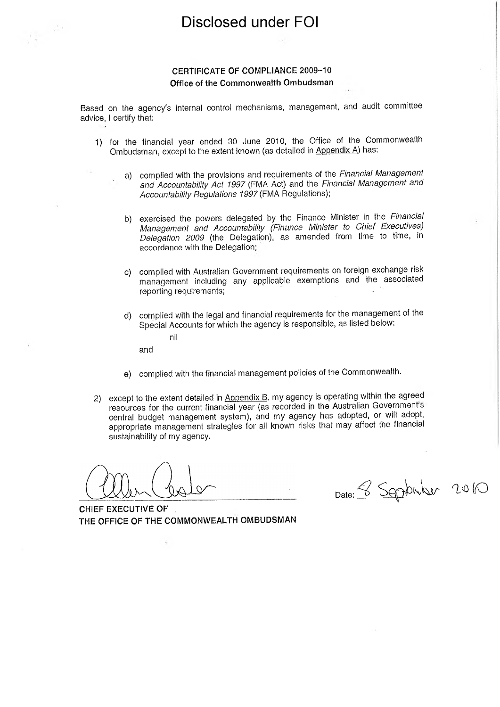### **CERTIFICATE OF COMPLIANCE 2009-10 Office of the Commonwealth Ombudsman**

Based on the agency's internal control mechanisms, management, and audit committee advice, I certify that:

- 1) for the financial year ended 30 June 2010, the Office of the Commonwealth Ombudsman, except to the extent known (as detailed in Appendix A) has:
	- a) complied with the provisions and requirements of the *Financial Management and Accountability Act 1997* (FMA Act) and the *Financial Management and Accountability Regulations 1997* (FMA Regulations);
	- b) exercised the powers delegated by the Finance Minister in the *Financial Management and Accountability (Finance Minister to Chief Executives) Delegation 2009* (the Delegation), as amended from time to time, in accordance with the Delegation;
	- c) complied with Australian Government requirements on foreign exchange risk management including any applicable exemptions and the associated reporting requirements;
	- d) complied with the legal and financial requirements for the management of the Special Accounts for which the agency is responsible, as listed below: nil
		- and

 $\label{eq:1.1} \sum_{\substack{1\leq i\leq n\\i\neq j}}\frac{1}{n^{2\alpha_i}}\, .$ 

- e) complied with the financial management policies of the Commonwealth.
- 2) except to the extent detailed in Appendix B, my agency is operating within the agreed resources for the current financial year (as recorded in the Australian Government's central budget management system), and my agency has adopted, or will adopt, appropriate management strategies for all known risks that may affect the financial sustainability of my agency,

Date: <u>8 September</u> 2010

**CHIEF EXECUTIVE OF THE OFFICE OF THE COMMONWEALTH OMBUDSMAN**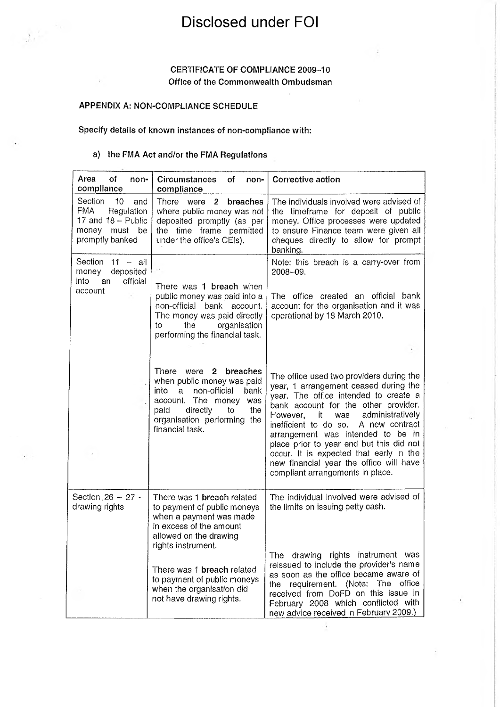### **CERTIFICATE OF COMPLIANCE 2009-10 Office of the Commonwealth Ombudsman**

#### **APPENDIX A: NON COMPLIANCE SCHEDULE -**

 $\frac{1}{\sqrt{2\pi}}\sum_{i=1}^{\infty}\frac{1}{i} \int_{0}^{1} \frac{1}{\sqrt{2\pi}}\,d\mu_{i}^{2}d\mu_{i}^{2}d\mu_{i}^{2}d\mu_{i}^{2}d\mu_{i}^{2}d\mu_{i}^{2}d\mu_{i}^{2}d\mu_{i}^{2}d\mu_{i}^{2}d\mu_{i}^{2}d\mu_{i}^{2}d\mu_{i}^{2}d\mu_{i}^{2}d\mu_{i}^{2}d\mu_{i}^{2}d\mu_{i}^{2}d\mu_{i}^{2}d\mu_{i}^{2}d\mu_{i}$ 

### **Specify details of known instances of non-compliance with:**

### **a) the FMA Act and/or the FMA Regulations**

| Area<br>of<br>non-<br>compliance                                                                       | <b>Circumstances</b><br>of<br>non-<br>compliance                                                                                                                                                                                                                                                                                                                                   | <b>Corrective action</b>                                                                                                                                                                                                                                                                                                                                                                                                                                        |  |
|--------------------------------------------------------------------------------------------------------|------------------------------------------------------------------------------------------------------------------------------------------------------------------------------------------------------------------------------------------------------------------------------------------------------------------------------------------------------------------------------------|-----------------------------------------------------------------------------------------------------------------------------------------------------------------------------------------------------------------------------------------------------------------------------------------------------------------------------------------------------------------------------------------------------------------------------------------------------------------|--|
| Section<br>10<br>and<br>FMA.<br>Regulation<br>17 and $18 -$ Public<br>money must be<br>promptly banked | There were<br>The individuals involved were advised of<br>$2^{\circ}$<br>breaches<br>where public money was not<br>the timeframe for deposit of public<br>deposited promptly (as per<br>money. Office processes were updated<br>the time frame permitted<br>to ensure Finance team were given all<br>under the office's CEIs).<br>cheques directly to allow for prompt<br>banking. |                                                                                                                                                                                                                                                                                                                                                                                                                                                                 |  |
| Section<br>$11 - al$<br>money<br>deposited<br>official<br>into<br>an<br>account                        | There was 1 breach when<br>public money was paid into a<br>non-official bank account.<br>The money was paid directly<br>the<br>to<br>organisation<br>performing the financial task.                                                                                                                                                                                                | Note: this breach is a carry-over from<br>2008-09.<br>The office created an official bank<br>account for the organisation and it was<br>operational by 18 March 2010.                                                                                                                                                                                                                                                                                           |  |
|                                                                                                        |                                                                                                                                                                                                                                                                                                                                                                                    |                                                                                                                                                                                                                                                                                                                                                                                                                                                                 |  |
|                                                                                                        | There were 2 breaches<br>when public money was paid<br>into a non-official<br>bank<br>account. The money was<br>directly<br>to<br>paid<br>the<br>organisation performing the<br>financial task.                                                                                                                                                                                    | The office used two providers during the<br>year, 1 arrangement ceased during the<br>year. The office intended to create a<br>bank account for the other provider.<br>administratively<br>However, it was<br>inefficient to do so.<br>A new contract<br>arrangement was intended to be in<br>place prior to year end but this did not<br>occur. It is expected that early in the<br>new financial year the office will have<br>compliant arrangements in place. |  |
| Section 26 - 27 -<br>drawing rights                                                                    | There was 1 breach related<br>to payment of public moneys<br>when a payment was made<br>in excess of the amount<br>allowed on the drawing<br>rights instrument.                                                                                                                                                                                                                    | The individual involved were advised of<br>the limits on issuing petty cash.<br>The drawing rights instrument was                                                                                                                                                                                                                                                                                                                                               |  |
|                                                                                                        | There was 1 breach related<br>to payment of public moneys<br>when the organisation did<br>not have drawing rights.                                                                                                                                                                                                                                                                 | reissued to include the provider's name<br>as soon as the office became aware of<br>the requirement. (Note: The office<br>received from DoFD on this issue in<br>February 2008 which conflicted with<br>new advice received in February 2009.)                                                                                                                                                                                                                  |  |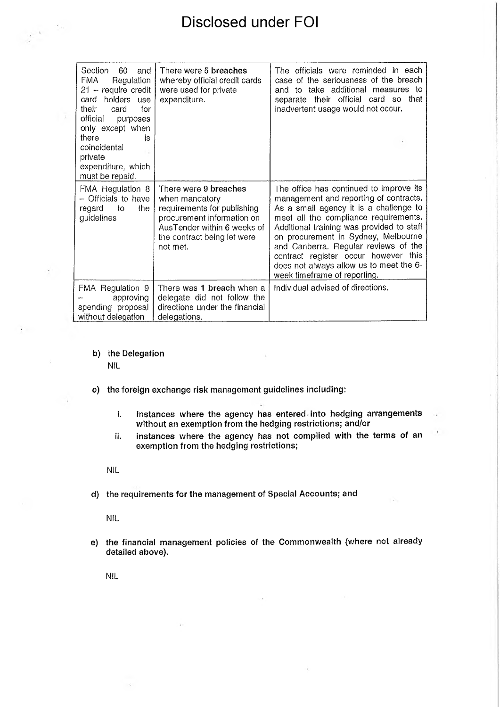| Section<br>60<br>and<br><b>FMA</b><br><b>Regulation</b><br>$21 -$ require credit<br>holders<br>card<br>use<br>for<br>their<br>card<br>official<br>purposes<br>only except when<br>there<br>is<br>coincidental<br>private<br>expenditure, which<br>must be repaid. | There were 5 breaches<br>whereby official credit cards<br>were used for private<br>expenditure.                                                                                | The officials were reminded in each<br>case of the seriousness of the breach<br>and to take additional measures to<br>separate their official card so that<br>inadvertent usage would not occur.                                                                                                                                                                                                                    |
|-------------------------------------------------------------------------------------------------------------------------------------------------------------------------------------------------------------------------------------------------------------------|--------------------------------------------------------------------------------------------------------------------------------------------------------------------------------|---------------------------------------------------------------------------------------------------------------------------------------------------------------------------------------------------------------------------------------------------------------------------------------------------------------------------------------------------------------------------------------------------------------------|
| FMA Regulation 8<br>- Officials to have<br>to)<br>the<br>regard<br>guidelines                                                                                                                                                                                     | There were 9 breaches<br>when mandatory<br>requirements for publishing<br>procurement information on<br>AusTender within 6 weeks of<br>the contract being let were<br>not met. | The office has continued to improve its<br>management and reporting of contracts.<br>As a small agency it is a challenge to<br>meet all the compliance requirements.<br>Additional training was provided to staff<br>on procurement in Sydney, Melbourne<br>and Canberra. Regular reviews of the<br>contract register occur however this<br>does not always allow us to meet the 6-<br>week timeframe of reporting. |
| FMA Regulation 9<br>approving<br>spending proposal<br>without delegation                                                                                                                                                                                          | There was 1 breach when a<br>delegate did not follow the<br>directions under the financial<br>delegations.                                                                     | Individual advised of directions.                                                                                                                                                                                                                                                                                                                                                                                   |

**b) the Delegation**

NIL

 $\frac{\lambda}{\sigma}^{(0,1)}$ 

 $\rightarrow$ 

- **c) the foreign exchange risk management guidelines including:**
	- **i. instances where the agency has entered into hedging arrangements without an exemption from the hedging restrictions; and/or**
	- **ii. instances where the agency has not complied with the terms of an exemption from the hedging restrictions;**

NIL

**d) the requirements for the management of Special Accounts; and**

NIL

**e) the financial management policies of the Commonwealth (where not already detailed above).**

NIL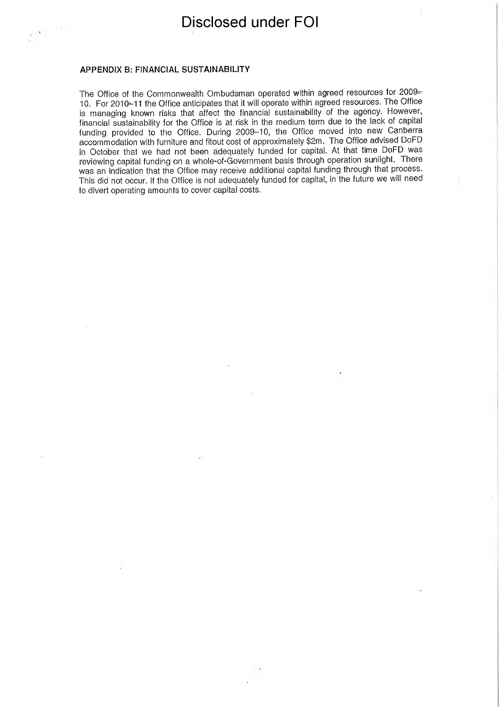### **APPENDIX B: FINANCIAL SUSTAINABILITY**

 $\label{eq:2.1} \frac{1}{2} \sum_{i=1}^n \frac{1}{2} \sum_{i=1}^n \frac{1}{2} \sum_{i=1}^n \frac{1}{2} \sum_{i=1}^n \frac{1}{2} \sum_{i=1}^n \frac{1}{2} \sum_{i=1}^n \frac{1}{2} \sum_{i=1}^n \frac{1}{2} \sum_{i=1}^n \frac{1}{2} \sum_{i=1}^n \frac{1}{2} \sum_{i=1}^n \frac{1}{2} \sum_{i=1}^n \frac{1}{2} \sum_{i=1}^n \frac{1}{2} \sum_{i=1}^n \frac{$ 

The Office of the Commonwealth Ombudsman operated within agreed resources for 2009 10. For 2010–11 the Office anticipates that it will operate within agreed resources. The Office is managing known risks that affect the financial sustainability of the agency. However, financial sustainability for the Office is at risk in the medium term due to the lack of capital funding provided to the Office. During 2009–10, the Office moved into new Canberra accommodation with furniture and fitout cost of approximately \$2m. The Office advised DoFD in October that we had not been adequately funded for capital, At that time DoFD was reviewing capital funding on a whole-of-Government basis through operation sunlight. There was an indication that the Office may receive additional capital funding through that process. This did not occur. If the Office is not adequately funded for capital, in the future we will need to divert operating amounts to cover capital costs.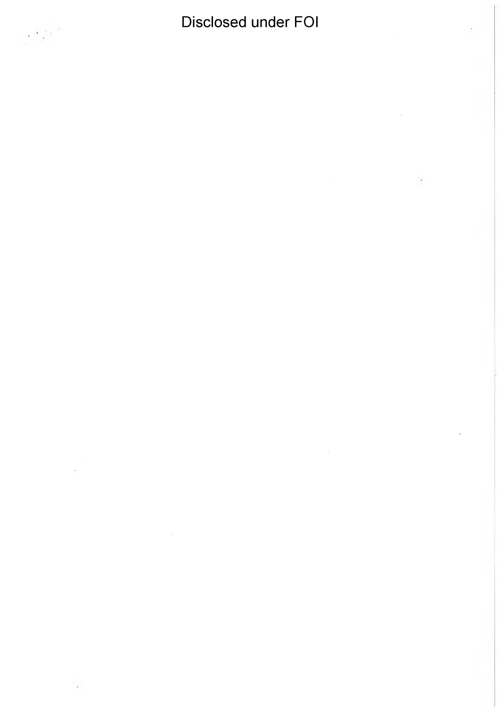

 $\cdot$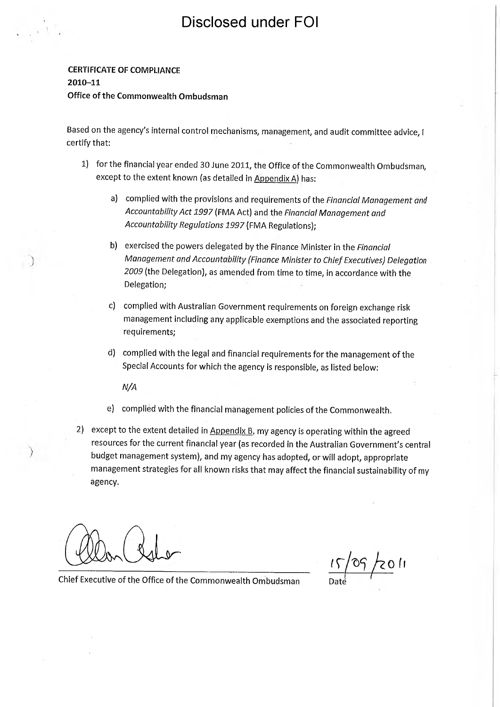CERTIFICATE OF COMPLIANCE **2010-11** Office of the Commonwealth Ombudsman

Based on the agency's internal control mechanisms, management, and audit committee advice, I certify that:

- 1) for the financial year ended 30 June 2011, the Office of the Commonwealth Ombudsman, except to the extent known (as detailed in Appendix A) has:
	- a) complied with the provisions and requirements of the *Financial Management and Accountability Act 1997* (FMA Act) and the *Financial Management and Accountability Regulations 1997* (FMA Regulations);
	- b) exercised the powers delegated by the Finance Minister in the *Financial Management and Accountability (Finance Minister to Chief Executives) Delegation 2009* (the Delegation), as amended from time to time, in accordance with the Delegation;
	- c) complied with Australian Government requirements on foreign exchange risk management including any applicable exemptions and the associated reporting requirements;
	- d) complied with the legal and financial requirements for the management of the Special Accounts for which the agency is responsible, as listed below:

*N/A*

- e) complied with the financial management policies of the Commonwealth.
- 2) except to the extent detailed in Appendix B, my agency is operating within the agreed resources for the current financial year (as recorded in the Australian Government's central budget management system), and my agency has adopted, or will adopt, appropriate management strategies for all known risks that may affect the financial sustainability of my agency.

*15-05-2011*

Chief Executive of the Office of the Commonwealth Ombudsman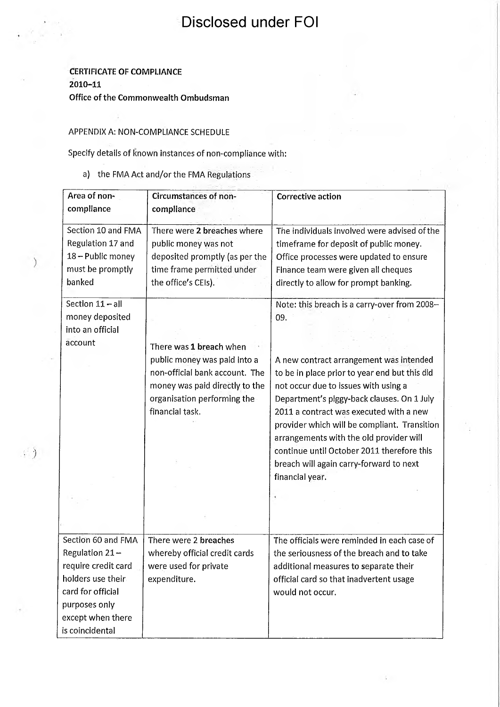CERTIFICATE OF COMPLIANCE **2010 11 -** Office of the Commonwealth Ombudsman

 $\sim$   $\sim$   $\sim$ 

 $\rightarrow$ 

 $\left( \frac{1}{2} \right)$ 

#### APPENDIX A: NON COMPLIANCE SCHEDULE -

Specify details of known instances of non-compliance with:

a) the FMA Act and/or the FMA Regulations

| Area of non-<br>compliance                                                                                             | <b>Circumstances of non-</b><br>compliance                                                                                                                                    | <b>Corrective action</b>                                                                                                                                                                                                                                                                                                                                                                                                                                                                |
|------------------------------------------------------------------------------------------------------------------------|-------------------------------------------------------------------------------------------------------------------------------------------------------------------------------|-----------------------------------------------------------------------------------------------------------------------------------------------------------------------------------------------------------------------------------------------------------------------------------------------------------------------------------------------------------------------------------------------------------------------------------------------------------------------------------------|
|                                                                                                                        |                                                                                                                                                                               |                                                                                                                                                                                                                                                                                                                                                                                                                                                                                         |
| Section 10 and FMA<br>Regulation 17 and<br>18 - Public money<br>must be promptly<br>banked                             | There were 2 breaches where<br>public money was not<br>deposited promptly (as per the<br>time frame permitted under<br>the office's CEIs).                                    | The individuals involved were advised of the<br>timeframe for deposit of public money.<br>Office processes were updated to ensure<br>Finance team were given all cheques<br>directly to allow for prompt banking.                                                                                                                                                                                                                                                                       |
| Section $11 - a$ ll<br>money deposited<br>into an official<br>account                                                  | There was 1 breach when<br>public money was paid into a<br>non-official bank account. The<br>money was paid directly to the<br>organisation performing the<br>financial task. | Note: this breach is a carry-over from 2008-<br>09.<br>A new contract arrangement was intended<br>to be in place prior to year end but this did<br>not occur due to issues with using a<br>Department's piggy-back clauses. On 1 July<br>2011 a contract was executed with a new<br>provider which will be compliant. Transition<br>arrangements with the old provider will<br>continue until October 2011 therefore this<br>breach will again carry-forward to next<br>financial year. |
| Section 60 and FMA                                                                                                     | There were 2 breaches                                                                                                                                                         | The officials were reminded in each case of                                                                                                                                                                                                                                                                                                                                                                                                                                             |
| Regulation $21 -$                                                                                                      | whereby official credit cards                                                                                                                                                 | the seriousness of the breach and to take                                                                                                                                                                                                                                                                                                                                                                                                                                               |
| require credit card<br>holders use their<br>card for official<br>purposes only<br>except when there<br>is coincidental | were used for private<br>expenditure.                                                                                                                                         | additional measures to separate their<br>official card so that inadvertent usage<br>would not occur.                                                                                                                                                                                                                                                                                                                                                                                    |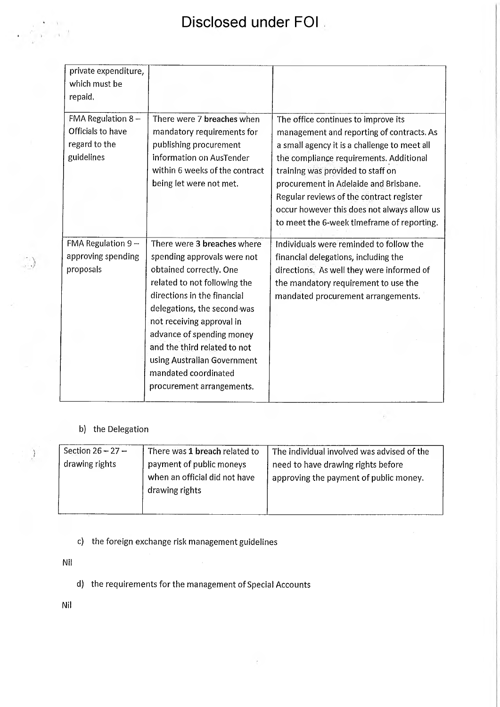| private expenditure,<br>which must be<br>repaid.                        |                                                                                                                                                                                                                                                                                                                                                                   |                                                                                                                                                                                                                                                                                                                                                                                                    |
|-------------------------------------------------------------------------|-------------------------------------------------------------------------------------------------------------------------------------------------------------------------------------------------------------------------------------------------------------------------------------------------------------------------------------------------------------------|----------------------------------------------------------------------------------------------------------------------------------------------------------------------------------------------------------------------------------------------------------------------------------------------------------------------------------------------------------------------------------------------------|
| FMA Regulation $8-$<br>Officials to have<br>regard to the<br>guidelines | There were 7 breaches when<br>mandatory requirements for<br>publishing procurement<br>information on AusTender<br>within 6 weeks of the contract<br>being let were not met.                                                                                                                                                                                       | The office continues to improve its<br>management and reporting of contracts, As<br>a small agency it is a challenge to meet all<br>the compliance requirements. Additional<br>training was provided to staff on<br>procurement in Adelaide and Brisbane.<br>Regular reviews of the contract register<br>occur however this does not always allow us<br>to meet the 6-week timeframe of reporting. |
| FMA Regulation $9 -$<br>approving spending<br>proposals                 | There were 3 breaches where<br>spending approvals were not<br>obtained correctly. One<br>related to not following the<br>directions in the financial<br>delegations, the second was<br>not receiving approval in<br>advance of spending money<br>and the third related to not<br>using Australian Government<br>mandated coordinated<br>procurement arrangements. | Individuals were reminded to follow the<br>financial delegations, including the<br>directions. As well they were informed of<br>the mandatory requirement to use the<br>mandated procurement arrangements.                                                                                                                                                                                         |

## b) the Delegation

| Section $26 - 27 -$ | There was 1 breach related to | The individual involved was advised of the |
|---------------------|-------------------------------|--------------------------------------------|
| drawing rights      | payment of public moneys      | need to have drawing rights before         |
|                     | when an official did not have | approving the payment of public money.     |
|                     | drawing rights                |                                            |
|                     |                               |                                            |
|                     |                               |                                            |

c) the foreign exchange risk management guidelines

Nil

 $\lambda$ 

d) the requirements for the management of Special Accounts

Nil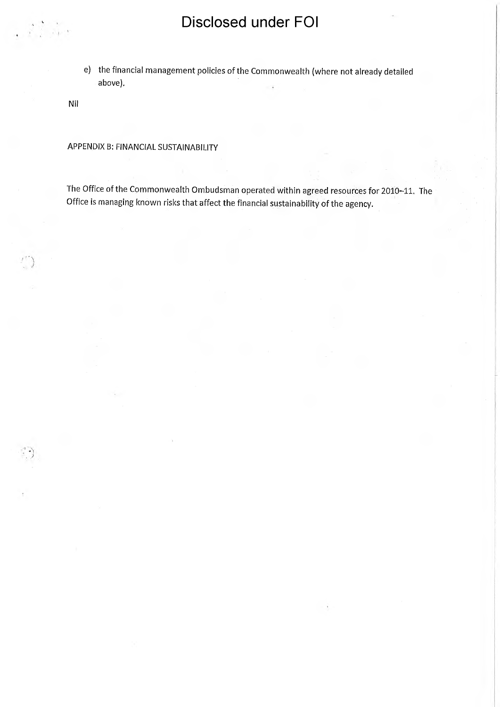e) the financial management policies of the Commonwealth (where not already detailed above).

Nil

APPENDIX B: FINANCIAL SUSTAINABILITY

The Office of the Commonwealth Ombudsman operated within agreed resources for 2010–11, The Office is managing known risks that affect the financial sustainability of the agency.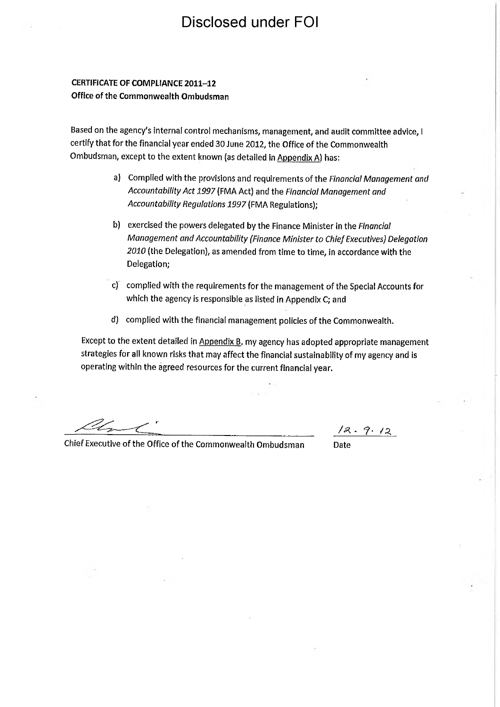### CERTIFICATE OF COMPLIANCE 2011-12 Office of the Commonwealth Ombudsman

Based on the agency's internal control mechanisms, management, and audit committee advice, I certify that for the financial year ended 30 June 2012, the Office of the Commonwealth Ombudsman, except to the extent known (as detailed in Appendix A) has:

- a) Complied with the provisions and requirements of the *Financial Management and Accountability Act 1997* (FMA Act) and the *Financial Management and Accountability Regulations 1997* (FMA Regulations);
- b) exercised the powers delegated by the Finance Minister in the *Financial Management and Accountability (Finance Minister to Chief Executives) Delegation 2010* (the Delegation), as amended from time to time, in accordance with the Delegation;
- c) complied with the requirements for the management of the Special Accounts for which the agency is responsible as listed in Appendix C; and
- d) complied with the financial management policies of the Commonwealth.

Except to the extent detailed in Appendix B, my agency has adopted appropriate management strategies for all known risks that may affect the financial sustainability of my agency and is operating within the agreed resources for the current financial year.

*12* **- 9 - 12**

Chief Executive of the Office of the Commonwealth Ombudsman Date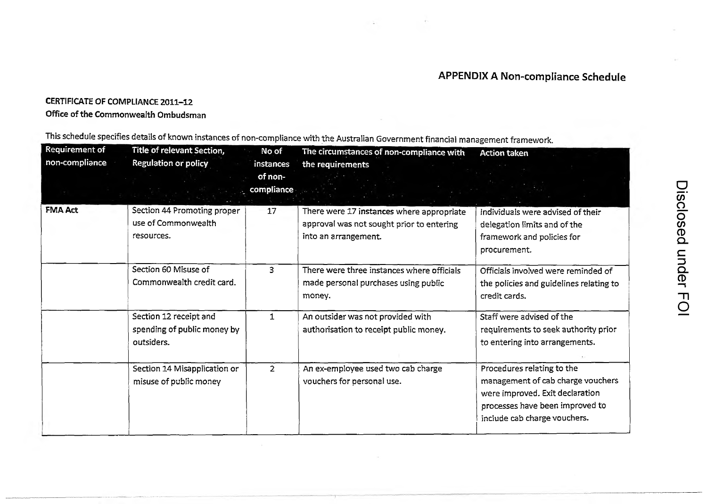## **APPENDIX A Non-compliance Schedule**

### **CERTIFICATE OF COMPLIANCE 2011 12 -**

**Office of the Commonwealth Ombudsman**

**This schedule specifies details of known instances of non-compliance with the Australian Government financial management framework.**

| <b>Requirement of</b> | Title of relevant Section,                                          | No of                 | The circumstances of non-compliance with                                                                       | <b>Action taken</b>                                                                                                                                                   |
|-----------------------|---------------------------------------------------------------------|-----------------------|----------------------------------------------------------------------------------------------------------------|-----------------------------------------------------------------------------------------------------------------------------------------------------------------------|
| non-compliance        | <b>Regulation or policy</b>                                         | instances             | the requirements                                                                                               |                                                                                                                                                                       |
|                       |                                                                     | of non-<br>compliance |                                                                                                                |                                                                                                                                                                       |
| <b>FMA Act</b>        | Section 44 Promoting proper<br>use of Commonwealth<br>resources.    | 17                    | There were 17 instances where appropriate<br>approval was not sought prior to entering<br>into an arrangement. | Individuals were advised of their<br>delegation limits and of the<br>framework and policies for<br>procurement.                                                       |
|                       | Section 60 Misuse of<br>Commonwealth credit card.                   | 3.                    | There were three instances where officials<br>made personal purchases using public<br>money.                   | Officials involved were reminded of<br>the policies and guidelines relating to<br>credit cards.                                                                       |
|                       | Section 12 receipt and<br>spending of public money by<br>outsiders. | 1                     | An outsider was not provided with<br>authorisation to receipt public money.                                    | Staff were advised of the<br>requirements to seek authority prior<br>to entering into arrangements.                                                                   |
|                       | Section 14 Misapplication or<br>misuse of public money              | $\overline{2}$        | An ex-employee used two cab charge<br>vouchers for personal use.                                               | Procedures relating to the<br>management of cab charge vouchers<br>were improved. Exit declaration<br>processes have been improved to<br>include cab charge vouchers. |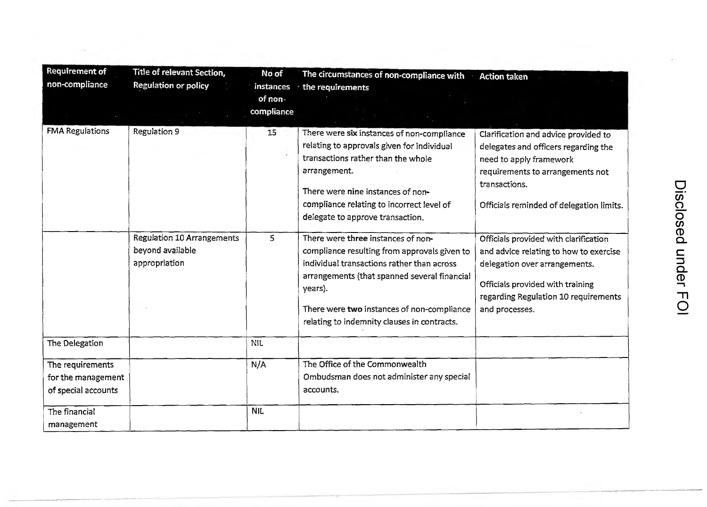| <b>Requirement of</b>  | Title of relevant Section,        | No of      | The circumstances of non-compliance with     | <b>Action taken</b>                      |
|------------------------|-----------------------------------|------------|----------------------------------------------|------------------------------------------|
| non-compliance         | Regulation or policy              | instances  | the requirements                             |                                          |
|                        |                                   | of non-    |                                              |                                          |
|                        |                                   | compliance |                                              |                                          |
|                        |                                   |            |                                              |                                          |
| <b>FMA Regulations</b> | Regulation 9                      | 15         | There were six instances of non-compliance   | Clarification and advice provided to     |
|                        |                                   |            | relating to approvals given for individual   | delegates and officers regarding the     |
|                        |                                   |            | transactions rather than the whole           | need to apply framework                  |
|                        |                                   |            | arrangement.                                 | requirements to arrangements not         |
|                        |                                   |            |                                              | transactions.                            |
|                        |                                   |            | There were nine instances of non-            |                                          |
|                        |                                   |            | compliance relating to incorrect level of    | Officials reminded of delegation limits. |
|                        |                                   |            | delegate to approve transaction.             |                                          |
|                        | <b>Regulation 10 Arrangements</b> | 5          | There were three instances of non-           | Officials provided with clarification    |
|                        | beyond available                  |            | compliance resulting from approvals given to | and advice relating to how to exercise   |
|                        | appropriation                     |            | individual transactions rather than across   | delegation over arrangements.            |
|                        |                                   |            | arrangements (that spanned several financial |                                          |
|                        |                                   |            | years).                                      | Officials provided with training         |
|                        |                                   |            |                                              | regarding Regulation 10 requirements     |
|                        |                                   |            | There were two instances of non-compliance   | and processes.                           |
|                        |                                   |            | relating to indemnity clauses in contracts.  |                                          |
|                        |                                   |            |                                              |                                          |
| The Delegation         |                                   | <b>NIL</b> |                                              |                                          |
| The requirements       |                                   | N/A        | The Office of the Commonwealth               |                                          |
| for the management     |                                   |            | Ombudsman does not administer any special    |                                          |
| of special accounts    |                                   |            | accounts.                                    |                                          |
|                        |                                   |            |                                              |                                          |
| The financial          |                                   | <b>NIL</b> |                                              |                                          |
| management             |                                   |            |                                              |                                          |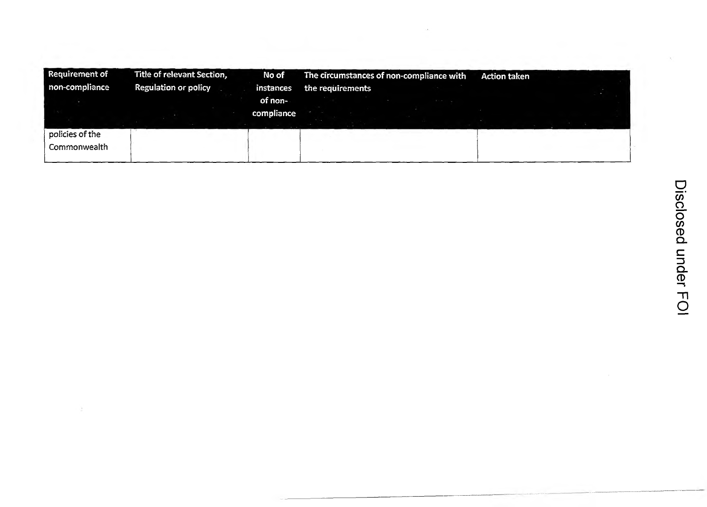| Requirement of<br>non-compliance | Title of relevant Section,<br><b>Regulation or policy</b> | No of<br>instances<br>of non- | The circumstances of non-compliance with<br>the requirements | <b>Action taken</b> |
|----------------------------------|-----------------------------------------------------------|-------------------------------|--------------------------------------------------------------|---------------------|
|                                  |                                                           | compliance                    |                                                              |                     |
| policies of the<br>Commonwealth  |                                                           |                               |                                                              |                     |

 $\lambda$ 

ó,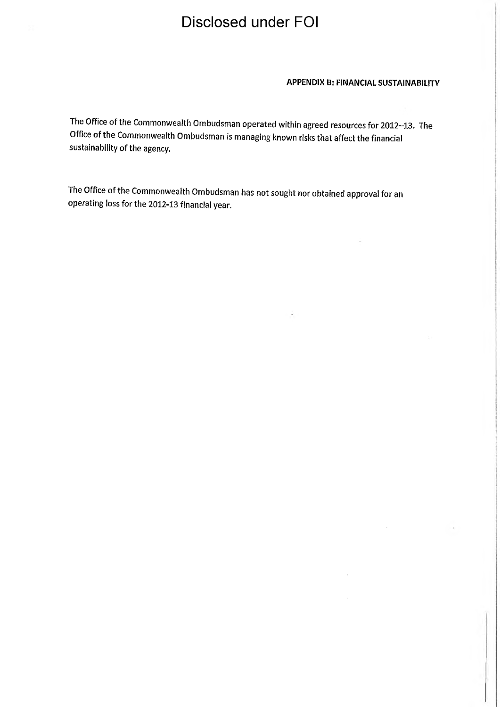### **APPENDIX B: FINANCIAL SUSTAINABILITY**

**The Office of the Commonwealth Ombudsman operated within agreed resources for 2012-13. The Office of the Commonwealth Ombudsman is managing known risks that affect the financial sustainability of the agency.**

**The Office of the Commonwealth Ombudsman has not sought nor obtained approval for an operating loss for the 2012-13 financial year.**